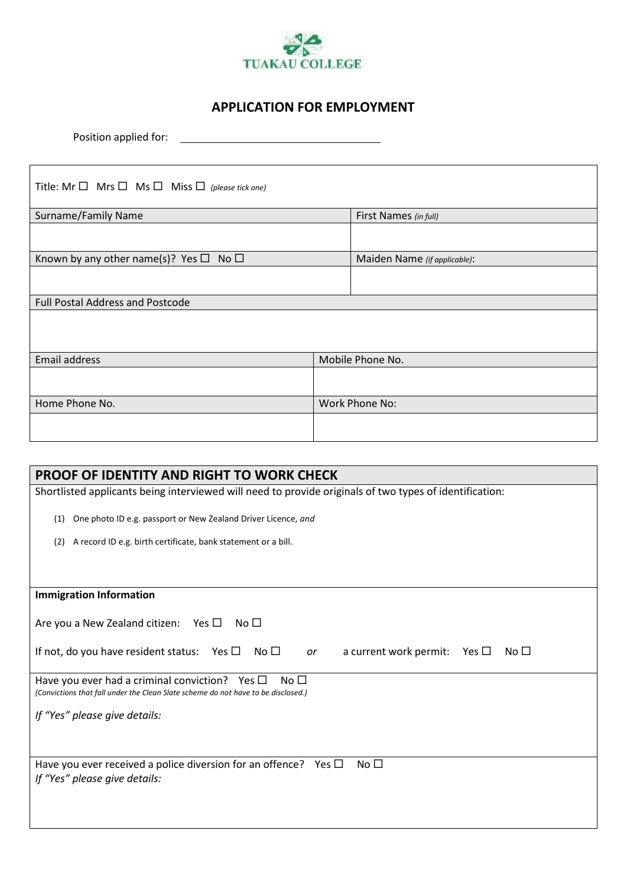

## **APPLICATION FOR EMPLOYMENT**

Position applied for:

| Title: Mr $\Box$ Mrs $\Box$ Ms $\Box$ Miss $\Box$ (please tick one) |                  |                              |  |
|---------------------------------------------------------------------|------------------|------------------------------|--|
| Surname/Family Name                                                 |                  | First Names (in full)        |  |
|                                                                     |                  |                              |  |
| Known by any other name(s)? Yes $\Box$ No $\Box$                    |                  | Maiden Name (if applicable): |  |
|                                                                     |                  |                              |  |
| <b>Full Postal Address and Postcode</b>                             |                  |                              |  |
|                                                                     |                  |                              |  |
| Email address                                                       | Mobile Phone No. |                              |  |
|                                                                     |                  |                              |  |
| Home Phone No.                                                      |                  | Work Phone No:               |  |
|                                                                     |                  |                              |  |

| <b>PROOF OF IDENTITY AND RIGHT TO WORK CHECK</b>                                                                                                      |  |  |
|-------------------------------------------------------------------------------------------------------------------------------------------------------|--|--|
| Shortlisted applicants being interviewed will need to provide originals of two types of identification:                                               |  |  |
| One photo ID e.g. passport or New Zealand Driver Licence, and<br>(1)                                                                                  |  |  |
| A record ID e.g. birth certificate, bank statement or a bill.<br>(2)                                                                                  |  |  |
|                                                                                                                                                       |  |  |
| <b>Immigration Information</b>                                                                                                                        |  |  |
| Are you a New Zealand citizen: Yes $\Box$<br>No $\Box$                                                                                                |  |  |
| If not, do you have resident status: Yes $\Box$<br>No $\Box$<br>a current work permit: Yes $\square$<br>No $\Box$<br>or                               |  |  |
| Have you ever had a criminal conviction? Yes $\Box$<br>No $\Box$<br>(Convictions that fall under the Clean Slate scheme do not have to be disclosed.) |  |  |
| If "Yes" please give details:                                                                                                                         |  |  |
|                                                                                                                                                       |  |  |
| No $\square$<br>Have you ever received a police diversion for an offence? Yes $\Box$<br>If "Yes" please give details:                                 |  |  |
|                                                                                                                                                       |  |  |
|                                                                                                                                                       |  |  |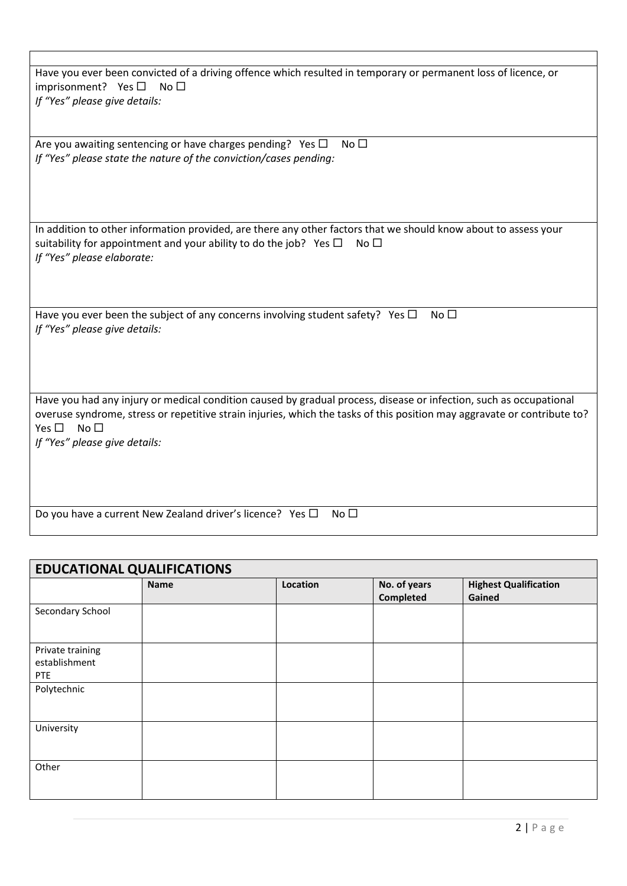| Have you ever been convicted of a driving offence which resulted in temporary or permanent loss of licence, or<br>imprisonment? Yes $\square$<br>No <sub>1</sub>                                                                                                                                                    |
|---------------------------------------------------------------------------------------------------------------------------------------------------------------------------------------------------------------------------------------------------------------------------------------------------------------------|
| If "Yes" please give details:                                                                                                                                                                                                                                                                                       |
| Are you awaiting sentencing or have charges pending? Yes $\Box$<br>No $\square$                                                                                                                                                                                                                                     |
| If "Yes" please state the nature of the conviction/cases pending:                                                                                                                                                                                                                                                   |
| In addition to other information provided, are there any other factors that we should know about to assess your<br>suitability for appointment and your ability to do the job? Yes $\Box$<br>No <sub>1</sub><br>If "Yes" please elaborate:                                                                          |
| Have you ever been the subject of any concerns involving student safety? Yes $\Box$<br>No $\square$<br>If "Yes" please give details:                                                                                                                                                                                |
| Have you had any injury or medical condition caused by gradual process, disease or infection, such as occupational<br>overuse syndrome, stress or repetitive strain injuries, which the tasks of this position may aggravate or contribute to?<br>Yes $\square$<br>No <sub>1</sub><br>If "Yes" please give details: |
| Do you have a current New Zealand driver's licence? Yes $\Box$<br>No $\square$                                                                                                                                                                                                                                      |

| <b>EDUCATIONAL QUALIFICATIONS</b>               |             |          |                           |                                        |
|-------------------------------------------------|-------------|----------|---------------------------|----------------------------------------|
|                                                 | <b>Name</b> | Location | No. of years<br>Completed | <b>Highest Qualification</b><br>Gained |
| Secondary School                                |             |          |                           |                                        |
| Private training<br>establishment<br><b>PTE</b> |             |          |                           |                                        |
| Polytechnic                                     |             |          |                           |                                        |
| University                                      |             |          |                           |                                        |
| Other                                           |             |          |                           |                                        |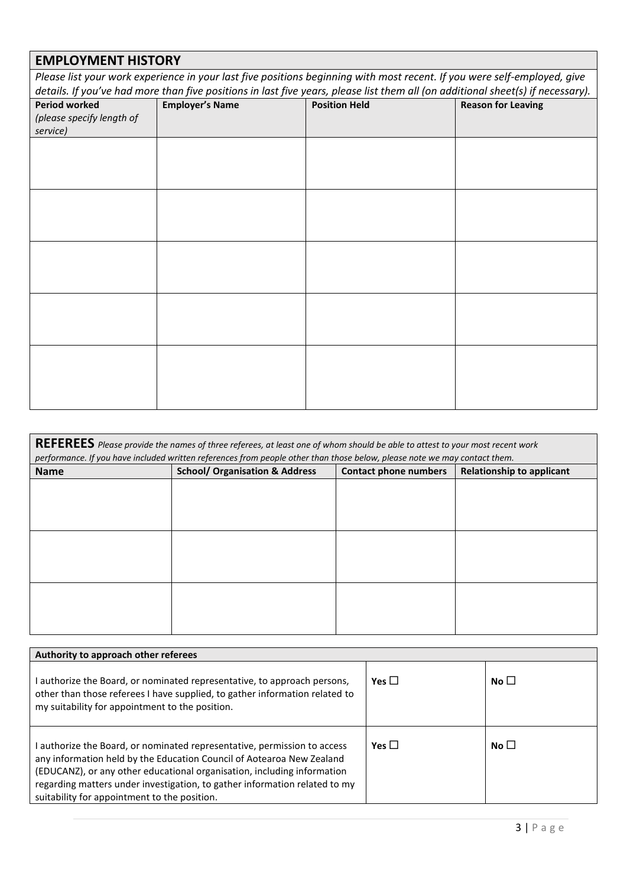## **EMPLOYMENT HISTORY**

*Please list your work experience in your last five positions beginning with most recent. If you were self-employed, give details. If you've had more than five positions in last five years, please list them all (on additional sheet(s) if necessary).*

| <b>Period worked</b><br>(please specify length of<br>service) | <b>Employer's Name</b> | <b>Position Held</b> | <b>Reason for Leaving</b> |
|---------------------------------------------------------------|------------------------|----------------------|---------------------------|
|                                                               |                        |                      |                           |
|                                                               |                        |                      |                           |
|                                                               |                        |                      |                           |
|                                                               |                        |                      |                           |
|                                                               |                        |                      |                           |

| REFEREES Please provide the names of three referees, at least one of whom should be able to attest to your most recent work<br>performance. If you have included written references from people other than those below, please note we may contact them. |                                           |                              |                                  |
|----------------------------------------------------------------------------------------------------------------------------------------------------------------------------------------------------------------------------------------------------------|-------------------------------------------|------------------------------|----------------------------------|
| <b>Name</b>                                                                                                                                                                                                                                              | <b>School/ Organisation &amp; Address</b> | <b>Contact phone numbers</b> | <b>Relationship to applicant</b> |
|                                                                                                                                                                                                                                                          |                                           |                              |                                  |
|                                                                                                                                                                                                                                                          |                                           |                              |                                  |
|                                                                                                                                                                                                                                                          |                                           |                              |                                  |
|                                                                                                                                                                                                                                                          |                                           |                              |                                  |
|                                                                                                                                                                                                                                                          |                                           |                              |                                  |
|                                                                                                                                                                                                                                                          |                                           |                              |                                  |
|                                                                                                                                                                                                                                                          |                                           |                              |                                  |
|                                                                                                                                                                                                                                                          |                                           |                              |                                  |
|                                                                                                                                                                                                                                                          |                                           |                              |                                  |

| Authority to approach other referees                                                                                                                                                                                                                                                                                                                     |            |           |  |
|----------------------------------------------------------------------------------------------------------------------------------------------------------------------------------------------------------------------------------------------------------------------------------------------------------------------------------------------------------|------------|-----------|--|
| authorize the Board, or nominated representative, to approach persons,<br>other than those referees I have supplied, to gather information related to<br>my suitability for appointment to the position.                                                                                                                                                 | Yes $\Box$ | No $\Box$ |  |
| authorize the Board, or nominated representative, permission to access<br>any information held by the Education Council of Aotearoa New Zealand<br>(EDUCANZ), or any other educational organisation, including information<br>regarding matters under investigation, to gather information related to my<br>suitability for appointment to the position. | Yes $\Box$ | No $\Box$ |  |